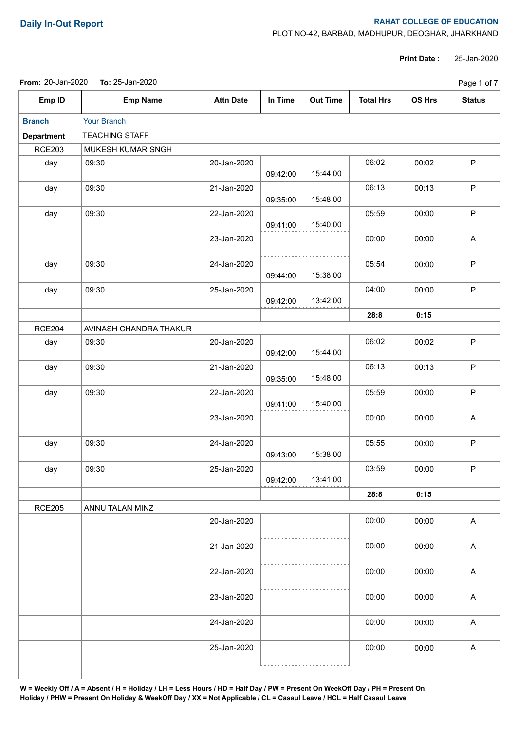**From:** 20-Jan-2020 **To:** 25-Jan-2020

## **Daily In-Out Report RAHAT COLLEGE OF EDUCATION**

PLOT NO-42, BARBAD, MADHUPUR, DEOGHAR, JHARKHAND

**Print Date :** 25-Jan-2020

| Page 1 of 7 |  |
|-------------|--|
|-------------|--|

| Emp ID            | <b>Emp Name</b>        | <b>Attn Date</b> | In Time  | <b>Out Time</b> | <b>Total Hrs</b> | OS Hrs | <b>Status</b>             |
|-------------------|------------------------|------------------|----------|-----------------|------------------|--------|---------------------------|
| <b>Branch</b>     | Your Branch            |                  |          |                 |                  |        |                           |
| <b>Department</b> | <b>TEACHING STAFF</b>  |                  |          |                 |                  |        |                           |
| <b>RCE203</b>     | MUKESH KUMAR SNGH      |                  |          |                 |                  |        |                           |
| day               | 09:30                  | 20-Jan-2020      | 09:42:00 | 15:44:00        | 06:02            | 00:02  | P                         |
| day               | 09:30                  | 21-Jan-2020      | 09:35:00 | 15:48:00        | 06:13            | 00:13  | P                         |
| day               | 09:30                  | 22-Jan-2020      | 09:41:00 | 15:40:00        | 05:59            | 00:00  | P                         |
|                   |                        | 23-Jan-2020      |          |                 | 00:00            | 00:00  | A                         |
| day               | 09:30                  | 24-Jan-2020      | 09:44:00 | 15:38:00        | 05:54            | 00:00  | P                         |
| day               | 09:30                  | 25-Jan-2020      | 09:42:00 | 13:42:00        | 04:00            | 00:00  | P                         |
|                   |                        |                  |          |                 | 28:8             | 0:15   |                           |
| <b>RCE204</b>     | AVINASH CHANDRA THAKUR |                  |          |                 |                  |        |                           |
| day               | 09:30                  | 20-Jan-2020      | 09:42:00 | 15:44:00        | 06:02            | 00:02  | P                         |
| day               | 09:30                  | 21-Jan-2020      | 09:35:00 | 15:48:00        | 06:13            | 00:13  | P                         |
| day               | 09:30                  | 22-Jan-2020      | 09:41:00 | 15:40:00        | 05:59            | 00:00  | P                         |
|                   |                        | 23-Jan-2020      |          |                 | 00:00            | 00:00  | A                         |
| day               | 09:30                  | 24-Jan-2020      | 09:43:00 | 15:38:00        | 05:55            | 00:00  | P                         |
| day               | 09:30                  | 25-Jan-2020      | 09:42:00 | 13:41:00        | 03:59            | 00:00  | P                         |
|                   |                        |                  |          |                 | 28:8             | 0:15   |                           |
| <b>RCE205</b>     | ANNU TALAN MINZ        |                  |          |                 |                  |        |                           |
|                   |                        | 20-Jan-2020      |          |                 | 00:00            | 00:00  | $\boldsymbol{\mathsf{A}}$ |
|                   |                        | 21-Jan-2020      |          |                 | 00:00            | 00:00  | $\boldsymbol{\mathsf{A}}$ |
|                   |                        | 22-Jan-2020      |          |                 | 00:00            | 00:00  | $\mathsf A$               |
|                   |                        | 23-Jan-2020      |          |                 | 00:00            | 00:00  | $\boldsymbol{\mathsf{A}}$ |
|                   |                        | 24-Jan-2020      |          |                 | 00:00            | 00:00  | A                         |
|                   |                        | 25-Jan-2020      |          |                 | 00:00            | 00:00  | A                         |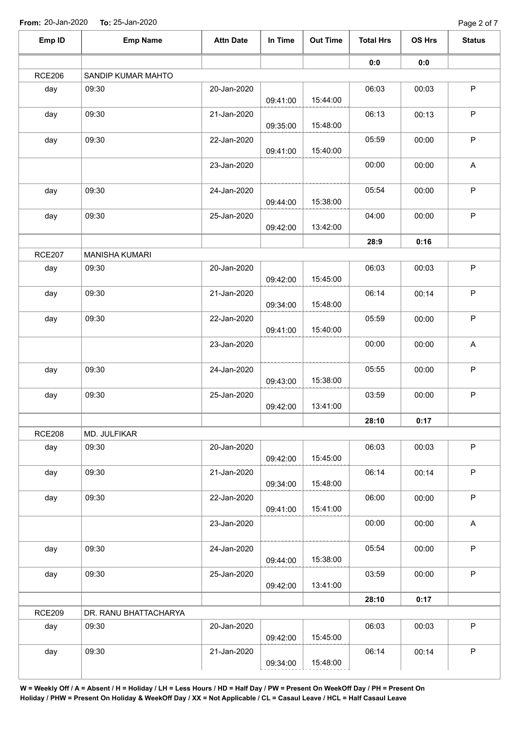**From:** 20-Jan-2020 **To:** 25-Jan-2020

| Emp ID        | <b>Emp Name</b>       | <b>Attn Date</b> | In Time  | <b>Out Time</b> | <b>Total Hrs</b> | OS Hrs | <b>Status</b>             |
|---------------|-----------------------|------------------|----------|-----------------|------------------|--------|---------------------------|
|               |                       |                  |          |                 | $\mathbf{0}$ 0   | 0:0    |                           |
| <b>RCE206</b> | SANDIP KUMAR MAHTO    |                  |          |                 |                  |        |                           |
| day           | 09:30                 | 20-Jan-2020      | 09:41:00 | 15:44:00        | 06:03            | 00:03  | $\mathsf{P}$              |
| day           | 09:30                 | 21-Jan-2020      | 09:35:00 | 15:48:00        | 06:13            | 00:13  | $\sf P$                   |
| day           | 09:30                 | 22-Jan-2020      | 09:41:00 | 15:40:00        | 05:59            | 00:00  | $\mathsf P$               |
|               |                       | 23-Jan-2020      |          |                 | 00:00            | 00:00  | A                         |
| day           | 09:30                 | 24-Jan-2020      | 09:44:00 | 15:38:00        | 05:54            | 00:00  | $\mathsf P$               |
| day           | 09:30                 | 25-Jan-2020      | 09:42:00 | 13:42:00        | 04:00            | 00:00  | $\mathsf{P}$              |
|               |                       |                  |          |                 | 28:9             | 0:16   |                           |
| <b>RCE207</b> | <b>MANISHA KUMARI</b> |                  |          |                 |                  |        |                           |
| day           | 09:30                 | 20-Jan-2020      | 09:42:00 | 15:45:00        | 06:03            | 00:03  | $\mathsf{P}$              |
| day           | 09:30                 | 21-Jan-2020      | 09:34:00 | 15:48:00        | 06:14            | 00:14  | $\mathsf P$               |
| day           | 09:30                 | 22-Jan-2020      | 09:41:00 | 15:40:00        | 05:59            | 00:00  | $\mathsf{P}$              |
|               |                       | 23-Jan-2020      |          |                 | 00:00            | 00:00  | $\mathsf{A}$              |
| day           | 09:30                 | 24-Jan-2020      | 09:43:00 | 15:38:00        | 05:55            | 00:00  | $\mathsf P$               |
| day           | 09:30                 | 25-Jan-2020      | 09:42:00 | 13:41:00        | 03:59            | 00:00  | $\mathsf P$               |
|               |                       |                  |          |                 | 28:10            | 0:17   |                           |
| <b>RCE208</b> | MD. JULFIKAR          |                  |          |                 |                  |        |                           |
| day           | 09:30                 | 20-Jan-2020      | 09:42:00 | 15:45:00        | 06:03            | 00:03  | $\mathsf{P}$              |
| day           | 09:30                 | 21-Jan-2020      | 09:34:00 | 15:48:00        | 06:14            | 00:14  | $\mathsf P$               |
| day           | 09:30                 | 22-Jan-2020      | 09:41:00 | 15:41:00        | 06:00            | 00:00  | $\sf P$                   |
|               |                       | 23-Jan-2020      |          |                 | 00:00            | 00:00  | $\boldsymbol{\mathsf{A}}$ |
| day           | 09:30                 | 24-Jan-2020      | 09:44:00 | 15:38:00        | 05:54            | 00:00  | $\mathsf P$               |
| day           | 09:30                 | 25-Jan-2020      | 09:42:00 | 13:41:00        | 03:59            | 00:00  | P                         |
|               |                       |                  |          |                 | 28:10            | 0:17   |                           |
| <b>RCE209</b> | DR. RANU BHATTACHARYA |                  |          |                 |                  |        |                           |
| day           | 09:30                 | 20-Jan-2020      | 09:42:00 | 15:45:00        | 06:03            | 00:03  | $\mathsf P$               |
| day           | 09:30                 | 21-Jan-2020      | 09:34:00 | 15:48:00        | 06:14            | 00:14  | $\mathsf P$               |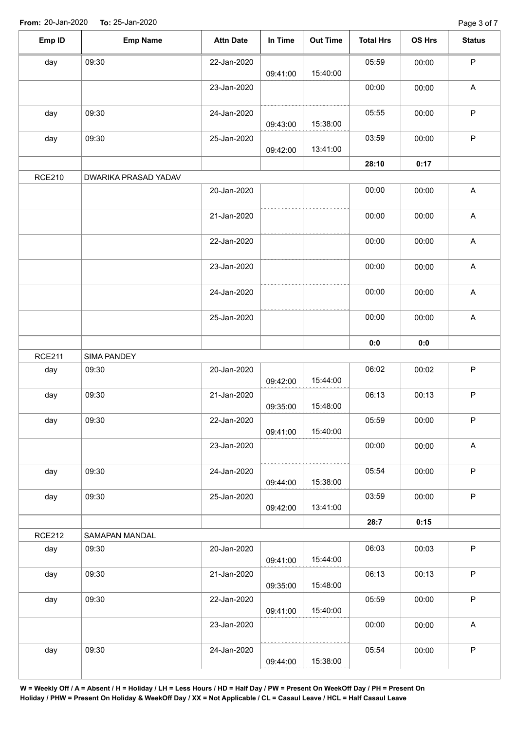| Emp ID        | <b>Emp Name</b>      | <b>Attn Date</b> | In Time  | <b>Out Time</b> | <b>Total Hrs</b> | OS Hrs | <b>Status</b>             |
|---------------|----------------------|------------------|----------|-----------------|------------------|--------|---------------------------|
| day           | 09:30                | 22-Jan-2020      | 09:41:00 | 15:40:00        | 05:59            | 00:00  | $\mathsf P$               |
|               |                      | 23-Jan-2020      |          |                 | 00:00            | 00:00  | $\boldsymbol{\mathsf{A}}$ |
| day           | 09:30                | 24-Jan-2020      | 09:43:00 | 15:38:00        | 05:55            | 00:00  | $\mathsf P$               |
| day           | 09:30                | 25-Jan-2020      | 09:42:00 | 13:41:00        | 03:59            | 00:00  | $\sf P$                   |
|               |                      |                  |          |                 | 28:10            | 0:17   |                           |
| <b>RCE210</b> | DWARIKA PRASAD YADAV |                  |          |                 |                  |        |                           |
|               |                      | 20-Jan-2020      |          |                 | 00:00            | 00:00  | $\boldsymbol{\mathsf{A}}$ |
|               |                      | 21-Jan-2020      |          |                 | 00:00            | 00:00  | A                         |
|               |                      | 22-Jan-2020      |          |                 | 00:00            | 00:00  | A                         |
|               |                      | 23-Jan-2020      |          |                 | 00:00            | 00:00  | $\boldsymbol{\mathsf{A}}$ |
|               |                      | 24-Jan-2020      |          |                 | 00:00            | 00:00  | $\boldsymbol{\mathsf{A}}$ |
|               |                      | 25-Jan-2020      |          |                 | 00:00            | 00:00  | $\boldsymbol{\mathsf{A}}$ |
|               |                      |                  |          |                 | 0:0              | 0:0    |                           |
| <b>RCE211</b> | SIMA PANDEY          |                  |          |                 |                  |        |                           |
| day           | 09:30                | 20-Jan-2020      | 09:42:00 | 15:44:00        | 06:02            | 00:02  | $\mathsf P$               |
| day           | 09:30                | 21-Jan-2020      | 09:35:00 | 15:48:00        | 06:13            | 00:13  | $\mathsf P$               |
| day           | 09:30                | 22-Jan-2020      | 09:41:00 | 15:40:00        | 05:59            | 00:00  | $\mathsf P$               |
|               |                      | 23-Jan-2020      |          |                 | 00:00            | 00:00  | $\boldsymbol{\mathsf{A}}$ |
| day           | 09:30                | 24-Jan-2020      | 09:44:00 | 15:38:00        | 05:54            | 00:00  | $\mathsf{P}$              |
| day           | 09:30                | 25-Jan-2020      | 09:42:00 | 13:41:00        | 03:59            | 00:00  | $\mathsf P$               |
|               |                      |                  |          |                 | 28:7             | 0:15   |                           |
| <b>RCE212</b> | SAMAPAN MANDAL       |                  |          |                 |                  |        |                           |
| day           | 09:30                | 20-Jan-2020      | 09:41:00 | 15:44:00        | 06:03            | 00:03  | $\mathsf P$               |
| day           | 09:30                | 21-Jan-2020      | 09:35:00 | 15:48:00        | 06:13            | 00:13  | P                         |
| day           | 09:30                | 22-Jan-2020      | 09:41:00 | 15:40:00        | 05:59            | 00:00  | $\mathsf P$               |
|               |                      | 23-Jan-2020      |          |                 | 00:00            | 00:00  | $\mathsf A$               |
| day           | 09:30                | 24-Jan-2020      | 09:44:00 | 15:38:00        | 05:54            | 00:00  | $\mathsf P$               |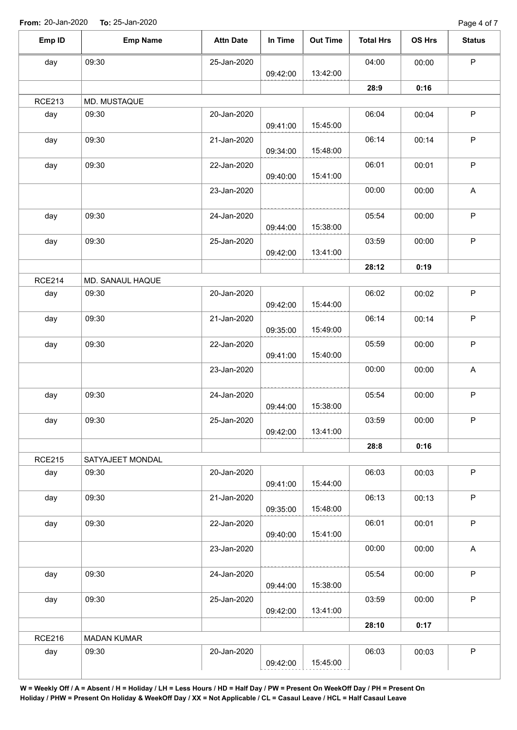| Emp ID        | <b>Emp Name</b>    | <b>Attn Date</b> | In Time  | <b>Out Time</b> | <b>Total Hrs</b> | OS Hrs | <b>Status</b> |
|---------------|--------------------|------------------|----------|-----------------|------------------|--------|---------------|
| day           | 09:30              | 25-Jan-2020      |          |                 | 04:00            | 00:00  | $\mathsf P$   |
|               |                    |                  | 09:42:00 | 13:42:00        |                  |        |               |
|               |                    |                  |          |                 | 28:9             | 0:16   |               |
| <b>RCE213</b> | MD. MUSTAQUE       |                  |          |                 |                  |        |               |
| day           | 09:30              | 20-Jan-2020      | 09:41:00 | 15:45:00        | 06:04            | 00:04  | $\mathsf P$   |
| day           | 09:30              | 21-Jan-2020      | 09:34:00 | 15:48:00        | 06:14            | 00:14  | $\mathsf P$   |
| day           | 09:30              | 22-Jan-2020      | 09:40:00 | 15:41:00        | 06:01            | 00:01  | $\mathsf P$   |
|               |                    | 23-Jan-2020      |          |                 | 00:00            | 00:00  | A             |
| day           | 09:30              | 24-Jan-2020      | 09:44:00 | 15:38:00        | 05:54            | 00:00  | $\mathsf P$   |
| day           | 09:30              | 25-Jan-2020      |          |                 | 03:59            | 00:00  | $\mathsf P$   |
|               |                    |                  | 09:42:00 | 13:41:00        |                  |        |               |
|               |                    |                  |          |                 | 28:12            | 0:19   |               |
| <b>RCE214</b> | MD. SANAUL HAQUE   |                  |          |                 |                  |        |               |
| day           | 09:30              | 20-Jan-2020      | 09:42:00 | 15:44:00        | 06:02            | 00:02  | $\mathsf P$   |
| day           | 09:30              | 21-Jan-2020      | 09:35:00 | 15:49:00        | 06:14            | 00:14  | P             |
| day           | 09:30              | 22-Jan-2020      | 09:41:00 | 15:40:00        | 05:59            | 00:00  | $\mathsf P$   |
|               |                    | 23-Jan-2020      |          |                 | 00:00            | 00:00  | A             |
| day           | 09:30              | 24-Jan-2020      | 09:44:00 | 15:38:00        | 05:54            | 00:00  | $\sf P$       |
| day           | 09:30              | 25-Jan-2020      | 09:42:00 | 13:41:00        | 03:59            | 00:00  | P             |
|               |                    |                  |          |                 | 28:8             | 0:16   |               |
| <b>RCE215</b> | SATYAJEET MONDAL   |                  |          |                 |                  |        |               |
| day           | 09:30              | 20-Jan-2020      | 09:41:00 | 15:44:00        | 06:03            | 00:03  | $\mathsf P$   |
| day           | 09:30              | 21-Jan-2020      | 09:35:00 | 15:48:00        | 06:13            | 00:13  | P             |
| day           | 09:30              | 22-Jan-2020      | 09:40:00 | 15:41:00        | 06:01            | 00:01  | $\mathsf P$   |
|               |                    | 23-Jan-2020      |          |                 | 00:00            | 00:00  | A             |
| day           | 09:30              | 24-Jan-2020      |          |                 | 05:54            | 00:00  | P             |
|               | 09:30              | 25-Jan-2020      | 09:44:00 | 15:38:00        | 03:59            | 00:00  | $\mathsf{P}$  |
| day           |                    |                  | 09:42:00 | 13:41:00        |                  |        |               |
|               |                    |                  |          |                 | 28:10            | 0:17   |               |
| <b>RCE216</b> | <b>MADAN KUMAR</b> |                  |          |                 |                  |        |               |
| day           | 09:30              | 20-Jan-2020      |          |                 | 06:03            | 00:03  | $\mathsf P$   |
|               |                    |                  | 09:42:00 | 15:45:00        |                  |        |               |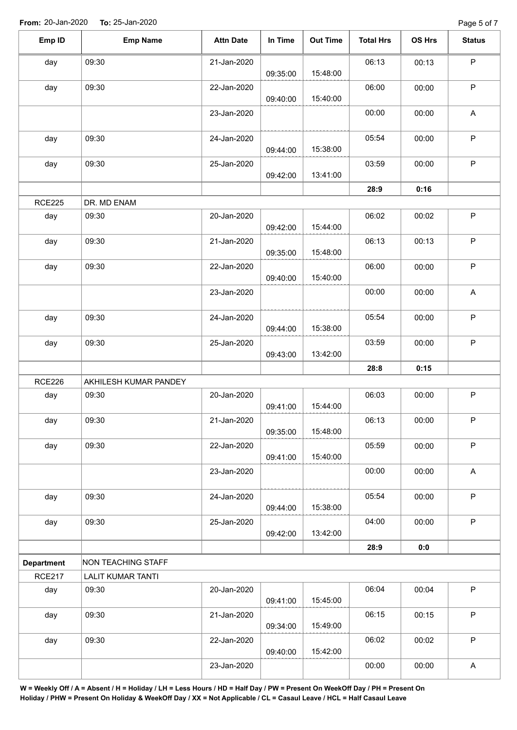| Emp ID            | <b>Emp Name</b>           | <b>Attn Date</b> | In Time  | <b>Out Time</b> | <b>Total Hrs</b> | OS Hrs | <b>Status</b>             |
|-------------------|---------------------------|------------------|----------|-----------------|------------------|--------|---------------------------|
| day               | 09:30                     | 21-Jan-2020      | 09:35:00 | 15:48:00        | 06:13            | 00:13  | $\mathsf P$               |
| day               | 09:30                     | 22-Jan-2020      | 09:40:00 | 15:40:00        | 06:00            | 00:00  | $\mathsf P$               |
|                   |                           | 23-Jan-2020      |          |                 | 00:00            | 00:00  | $\mathsf{A}$              |
| day               | 09:30                     | 24-Jan-2020      | 09:44:00 | 15:38:00        | 05:54            | 00:00  | $\sf P$                   |
| day               | 09:30                     | 25-Jan-2020      |          | 13:41:00        | 03:59            | 00:00  | $\mathsf P$               |
|                   |                           |                  | 09:42:00 |                 | 28:9             | 0:16   |                           |
| <b>RCE225</b>     | DR. MD ENAM               |                  |          |                 |                  |        |                           |
| day               | 09:30                     | 20-Jan-2020      |          |                 | 06:02            | 00:02  | $\mathsf P$               |
|                   |                           |                  | 09:42:00 | 15:44:00        |                  |        |                           |
| day               | 09:30                     | 21-Jan-2020      | 09:35:00 | 15:48:00        | 06:13            | 00:13  | $\mathsf P$               |
| day               | 09:30                     | 22-Jan-2020      | 09:40:00 | 15:40:00        | 06:00            | 00:00  | $\sf P$                   |
|                   |                           | 23-Jan-2020      |          |                 | 00:00            | 00:00  | $\boldsymbol{\mathsf{A}}$ |
| day               | 09:30                     | 24-Jan-2020      | 09:44:00 | 15:38:00        | 05:54            | 00:00  | $\mathsf P$               |
| day               | 09:30                     | 25-Jan-2020      | 09:43:00 | 13:42:00        | 03:59            | 00:00  | $\mathsf P$               |
|                   |                           |                  |          |                 | 28:8             | 0:15   |                           |
| <b>RCE226</b>     | AKHILESH KUMAR PANDEY     |                  |          |                 |                  |        |                           |
| day               | 09:30                     | 20-Jan-2020      | 09:41:00 | 15:44:00        | 06:03            | 00:00  | $\mathsf P$               |
| day               | 09:30                     | 21-Jan-2020      | 09:35:00 | 15:48:00        | 06:13            | 00:00  | $\sf P$                   |
| day               | 09:30                     | 22-Jan-2020      | 09:41:00 | 15:40:00        | 05:59            | 00:00  | $\sf P$                   |
|                   |                           | 23-Jan-2020      |          |                 | 00:00            | 00:00  | $\mathsf A$               |
| day               | 09:30                     | 24-Jan-2020      | 09:44:00 | 15:38:00        | 05:54            | 00:00  | $\mathsf P$               |
| day               | 09:30                     | 25-Jan-2020      | 09:42:00 | 13:42:00        | 04:00            | 00:00  | $\sf P$                   |
|                   |                           |                  |          |                 | 28:9             | 0:0    |                           |
| <b>Department</b> | <b>NON TEACHING STAFF</b> |                  |          |                 |                  |        |                           |
| <b>RCE217</b>     | <b>LALIT KUMAR TANTI</b>  |                  |          |                 |                  |        |                           |
| day               | 09:30                     | 20-Jan-2020      |          |                 | 06:04            | 00:04  | $\sf P$                   |
|                   |                           |                  | 09:41:00 | 15:45:00        |                  |        |                           |
| day               | 09:30                     | 21-Jan-2020      | 09:34:00 | 15:49:00        | 06:15            | 00:15  | $\mathsf P$               |
| day               | 09:30                     | 22-Jan-2020      | 09:40:00 | 15:42:00        | 06:02            | 00:02  | P                         |
|                   |                           | 23-Jan-2020      |          |                 | 00:00            | 00:00  | A                         |

**W = Weekly Off / A = Absent / H = Holiday / LH = Less Hours / HD = Half Day / PW = Present On WeekOff Day / PH = Present On Holiday / PHW = Present On Holiday & WeekOff Day / XX = Not Applicable / CL = Casaul Leave / HCL = Half Casaul Leave**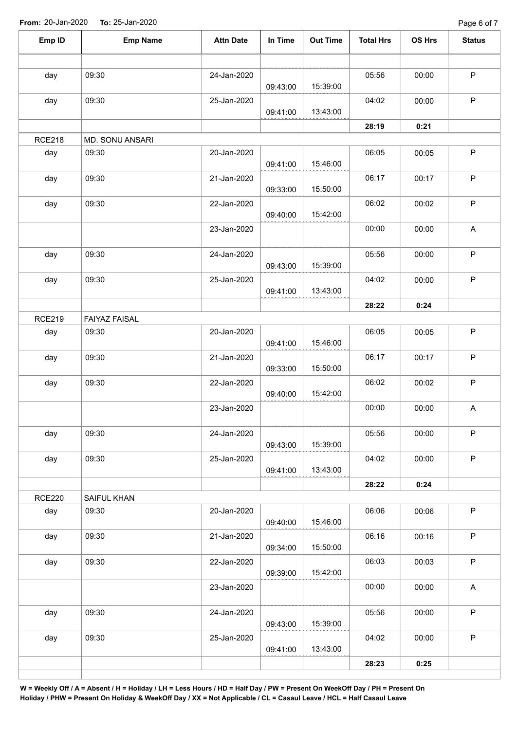**From:** 20-Jan-2020 **To:** 25-Jan-2020

Page 6 of 7

| Emp ID        | <b>Emp Name</b>      | <b>Attn Date</b> | In Time  | <b>Out Time</b> | <b>Total Hrs</b> | OS Hrs | <b>Status</b>             |
|---------------|----------------------|------------------|----------|-----------------|------------------|--------|---------------------------|
|               |                      |                  |          |                 |                  |        | ${\sf P}$                 |
| day           | 09:30                | 24-Jan-2020      | 09:43:00 | 15:39:00        | 05:56            | 00:00  |                           |
| day           | 09:30                | 25-Jan-2020      | 09:41:00 | 13:43:00        | 04:02            | 00:00  | $\mathsf P$               |
|               |                      |                  |          |                 | 28:19            | 0:21   |                           |
| <b>RCE218</b> | MD. SONU ANSARI      |                  |          |                 |                  |        |                           |
| day           | 09:30                | 20-Jan-2020      | 09:41:00 | 15:46:00        | 06:05            | 00:05  | $\sf P$                   |
| day           | 09:30                | 21-Jan-2020      | 09:33:00 | 15:50:00        | 06:17            | 00:17  | P                         |
| day           | 09:30                | 22-Jan-2020      | 09:40:00 | 15:42:00        | 06:02            | 00:02  | $\mathsf P$               |
|               |                      | 23-Jan-2020      |          |                 | 00:00            | 00:00  | $\boldsymbol{\mathsf{A}}$ |
| day           | 09:30                | 24-Jan-2020      | 09:43:00 | 15:39:00        | 05:56            | 00:00  | $\mathsf P$               |
| day           | 09:30                | 25-Jan-2020      | 09:41:00 | 13:43:00        | 04:02            | 00:00  | $\mathsf P$               |
|               |                      |                  |          |                 | 28:22            | 0:24   |                           |
| <b>RCE219</b> | <b>FAIYAZ FAISAL</b> |                  |          |                 |                  |        |                           |
| day           | 09:30                | 20-Jan-2020      | 09:41:00 | 15:46:00        | 06:05            | 00:05  | $\mathsf P$               |
| day           | 09:30                | 21-Jan-2020      | 09:33:00 | 15:50:00        | 06:17            | 00:17  | $\sf P$                   |
| day           | 09:30                | 22-Jan-2020      | 09:40:00 | 15:42:00        | 06:02            | 00:02  | $\sf P$                   |
|               |                      | 23-Jan-2020      |          |                 | 00:00            | 00:00  | $\boldsymbol{\mathsf{A}}$ |
| day           | 09:30                | 24-Jan-2020      | 09:43:00 | 15:39:00        | 05:56            | 00:00  | P                         |
| day           | 09:30                | 25-Jan-2020      | 09:41:00 | 13:43:00        | 04:02            | 00:00  | $\mathsf P$               |
|               |                      |                  |          |                 | 28:22            | 0:24   |                           |
| <b>RCE220</b> | SAIFUL KHAN          |                  |          |                 |                  |        |                           |
| day           | 09:30                | 20-Jan-2020      | 09:40:00 | 15:46:00        | 06:06            | 00:06  | $\sf P$                   |
| day           | 09:30                | 21-Jan-2020      | 09:34:00 | 15:50:00        | 06:16            | 00:16  | $\sf P$                   |
| day           | 09:30                | 22-Jan-2020      | 09:39:00 | 15:42:00        | 06:03            | 00:03  | $\sf P$                   |
|               |                      | 23-Jan-2020      |          |                 | 00:00            | 00:00  | A                         |
| day           | 09:30                | 24-Jan-2020      | 09:43:00 | 15:39:00        | 05:56            | 00:00  | $\mathsf P$               |
| day           | 09:30                | 25-Jan-2020      | 09:41:00 | 13:43:00        | 04:02            | 00:00  | $\mathsf P$               |
|               |                      |                  |          |                 | 28:23            | 0:25   |                           |

**W = Weekly Off / A = Absent / H = Holiday / LH = Less Hours / HD = Half Day / PW = Present On WeekOff Day / PH = Present On Holiday / PHW = Present On Holiday & WeekOff Day / XX = Not Applicable / CL = Casaul Leave / HCL = Half Casaul Leave**